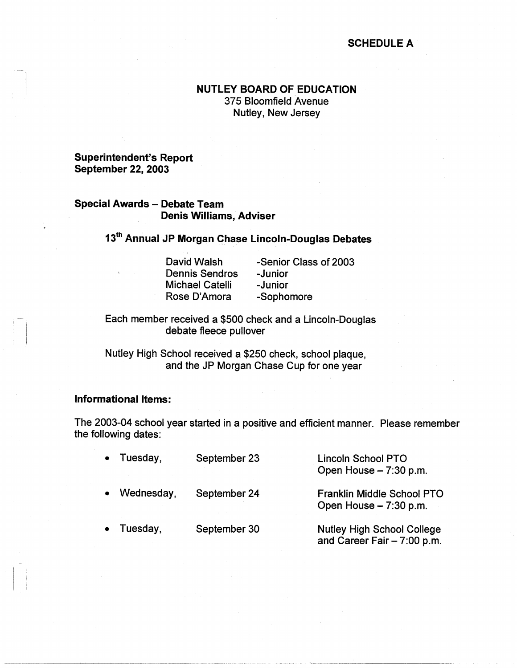## **SCHEDULE A**

# **NUTLEY BOARD OF EDUCATION**  375 Bloomfield Avenue Nutley, New Jersey

### **Superintendent's Report September 22, 2003**

### **Special Awards** - **Debate Team Denis Williams, Adviser**

13<sup>th</sup> Annual JP Morgan Chase Lincoln-Douglas Debates

David Walsh Dennis Sendros Michael Catalli Rose D'Amora

-~- -------·-·------··-·--- ·----·--·

-Senior Class of 2003 -Junior -Junior -Sophomore

Each member received a \$500 check and a Lincoln-Douglas debate fleece pullover

Nutley High School received a \$250 check, school plaque, and the JP Morgan Chase Cup for one year

#### **Informational Items:**

The 2003-04 school year started in a positive and efficient manner. Please remember the following dates:

| $\bullet$ | Tuesday,   | September 23 | <b>Lincoln School PTO</b><br>Open House - 7:30 p.m.               |
|-----------|------------|--------------|-------------------------------------------------------------------|
| $\bullet$ | Wednesday, | September 24 | <b>Franklin Middle School PTO</b><br>Open House - 7:30 p.m.       |
| $\bullet$ | Tuesday,   | September 30 | <b>Nutley High School College</b><br>and Career Fair $-7:00$ p.m. |